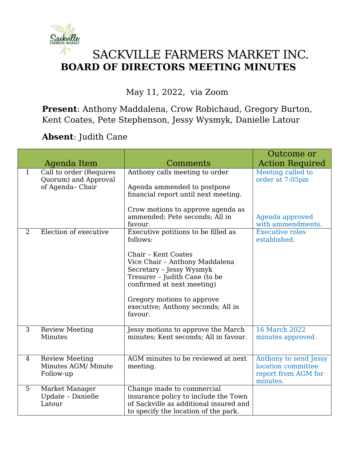

## SACKVILLE FARMERS MARKET INC. **BOARD OF DIRECTORS MEETING MINUTES**

## May 11, 2022, via Zoom

**Present**: Anthony Maddalena, Crow Robichaud, Gregory Burton, Kent Coates, Pete Stephenson, Jessy Wysmyk, Danielle Latour

**Absent**: Judith Cane

|   |                                                                    |                                                                                                                                                                                                                                                                                    | Outcome or                                                                     |
|---|--------------------------------------------------------------------|------------------------------------------------------------------------------------------------------------------------------------------------------------------------------------------------------------------------------------------------------------------------------------|--------------------------------------------------------------------------------|
|   | Agenda Item                                                        | Comments                                                                                                                                                                                                                                                                           | <b>Action Required</b>                                                         |
| 1 | Call to order (Requires<br>Quorum) and Approval<br>of Agenda-Chair | Anthony calls meeting to order<br>Agenda ammended to postpone<br>financial report until next meeting.<br>Crow motions to approve agenda as<br>ammended; Pete seconds; All in<br>favour.                                                                                            | Meeting called to<br>order at 7:05pm<br>Agenda approved<br>with ammendments.   |
| 2 | Election of executive                                              | Executive potitions to be filled as<br>follows:<br>Chair - Kent Coates<br>Vice Chair - Anthony Maddalena<br>Secretary - Jessy Wysmyk<br>Tresurer - Judith Cane (to be<br>confirmed at next meeting)<br>Gregory motions to approve<br>executive; Anthony seconds; All in<br>favour. | <b>Executive roles</b><br>established.                                         |
| 3 | <b>Review Meeting</b><br>Minutes                                   | Jessy motions to approve the March<br>minutes; Kent seconds; All in favour.                                                                                                                                                                                                        | <b>16 March 2022</b><br>minutes approved.                                      |
| 4 | <b>Review Meeting</b><br>Minutes AGM/ Minute<br>Follow-up          | AGM minutes to be reviewed at next<br>meeting.                                                                                                                                                                                                                                     | Anthony to send Jessy<br>location committee<br>report from AGM for<br>minutes. |
| 5 | Market Manager<br>Update - Danielle<br>Latour                      | Change made to commercial<br>insurance policy to include the Town<br>of Sackville as additional insured and<br>to specify the location of the park.                                                                                                                                |                                                                                |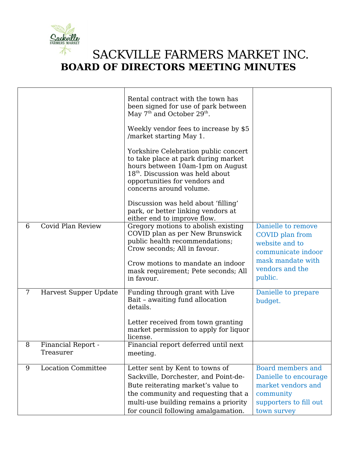

## SACKVILLE FARMERS MARKET INC. **BOARD OF DIRECTORS MEETING MINUTES**

|   |                           | Rental contract with the town has<br>been signed for use of park between<br>May 7 <sup>th</sup> and October 29 <sup>th</sup> .<br>Weekly vendor fees to increase by \$5<br>/market starting May 1.<br>Yorkshire Celebration public concert<br>to take place at park during market<br>hours between 10am-1pm on August<br>$18th$ . Discussion was held about<br>opportunities for vendors and<br>concerns around volume.<br>Discussion was held about 'filling'<br>park, or better linking vendors at |                                                                                                                                  |
|---|---------------------------|------------------------------------------------------------------------------------------------------------------------------------------------------------------------------------------------------------------------------------------------------------------------------------------------------------------------------------------------------------------------------------------------------------------------------------------------------------------------------------------------------|----------------------------------------------------------------------------------------------------------------------------------|
|   |                           | either end to improve flow.                                                                                                                                                                                                                                                                                                                                                                                                                                                                          |                                                                                                                                  |
| 6 | Covid Plan Review         | Gregory motions to abolish existing<br>COVID plan as per New Brunswick<br>public health recommendations;<br>Crow seconds; All in favour.<br>Crow motions to mandate an indoor<br>mask requirement; Pete seconds; All<br>in favour.                                                                                                                                                                                                                                                                   | Danielle to remove<br>COVID plan from<br>website and to<br>communicate indoor<br>mask mandate with<br>vendors and the<br>public. |
| 7 | Harvest Supper Update     | Funding through grant with Live<br>Bait - awaiting fund allocation<br>details.<br>Letter received from town granting<br>market permission to apply for liquor<br>license.                                                                                                                                                                                                                                                                                                                            | Danielle to prepare<br>budget.                                                                                                   |
| 8 | Financial Report -        | Financial report deferred until next                                                                                                                                                                                                                                                                                                                                                                                                                                                                 |                                                                                                                                  |
|   | Treasurer                 | meeting.                                                                                                                                                                                                                                                                                                                                                                                                                                                                                             |                                                                                                                                  |
| 9 | <b>Location Committee</b> | Letter sent by Kent to towns of                                                                                                                                                                                                                                                                                                                                                                                                                                                                      | <b>Board members and</b>                                                                                                         |
|   |                           | Sackville, Dorchester, and Point-de-                                                                                                                                                                                                                                                                                                                                                                                                                                                                 | Danielle to encourage                                                                                                            |
|   |                           | Bute reiterating market's value to                                                                                                                                                                                                                                                                                                                                                                                                                                                                   | market vendors and                                                                                                               |
|   |                           | the community and requesting that a                                                                                                                                                                                                                                                                                                                                                                                                                                                                  | community                                                                                                                        |
|   |                           | multi-use building remains a priority                                                                                                                                                                                                                                                                                                                                                                                                                                                                | supporters to fill out                                                                                                           |
|   |                           | for council following amalgamation.                                                                                                                                                                                                                                                                                                                                                                                                                                                                  | town survey                                                                                                                      |